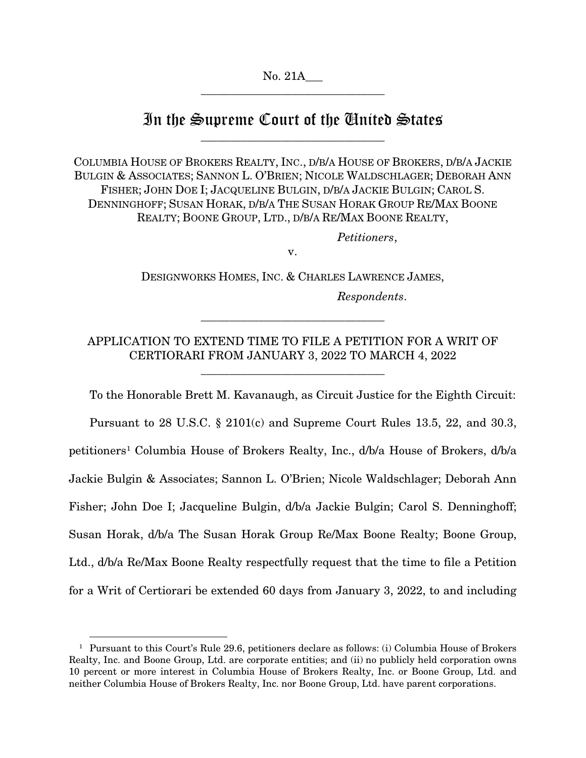# In the Supreme Court of the United States \_\_\_\_\_\_\_\_\_\_\_\_\_\_\_\_\_\_\_\_\_\_\_\_\_\_\_\_\_\_\_\_

COLUMBIA HOUSE OF BROKERS REALTY, INC., D/B/A HOUSE OF BROKERS, D/B/A JACKIE BULGIN & ASSOCIATES; SANNON L. O'BRIEN; NICOLE WALDSCHLAGER; DEBORAH ANN FISHER; JOHN DOE I; JACQUELINE BULGIN, D/B/A JACKIE BULGIN; CAROL S. DENNINGHOFF; SUSAN HORAK, D/B/A THE SUSAN HORAK GROUP RE/MAX BOONE REALTY; BOONE GROUP, LTD., D/B/A RE/MAX BOONE REALTY,

*Petitioners*,

v.

DESIGNWORKS HOMES, INC. & CHARLES LAWRENCE JAMES, *Respondents*.

\_\_\_\_\_\_\_\_\_\_\_\_\_\_\_\_\_\_\_\_\_\_\_\_\_\_\_\_\_\_\_\_

## APPLICATION TO EXTEND TIME TO FILE A PETITION FOR A WRIT OF CERTIORARI FROM JANUARY 3, 2022 TO MARCH 4, 2022

\_\_\_\_\_\_\_\_\_\_\_\_\_\_\_\_\_\_\_\_\_\_\_\_\_\_\_\_\_\_\_\_

To the Honorable Brett M. Kavanaugh, as Circuit Justice for the Eighth Circuit: Pursuant to 28 U.S.C. § 2101(c) and Supreme Court Rules 13.5, 22, and 30.3, petitioners<sup>1</sup> Columbia House of Brokers Realty, Inc., d/b/a House of Brokers, d/b/a Jackie Bulgin & Associates; Sannon L. O'Brien; Nicole Waldschlager; Deborah Ann Fisher; John Doe I; Jacqueline Bulgin, d/b/a Jackie Bulgin; Carol S. Denninghoff; Susan Horak, d/b/a The Susan Horak Group Re/Max Boone Realty; Boone Group, Ltd., d/b/a Re/Max Boone Realty respectfully request that the time to file a Petition for a Writ of Certiorari be extended 60 days from January 3, 2022, to and including

<span id="page-0-0"></span><sup>&</sup>lt;sup>1</sup> Pursuant to this Court's Rule 29.6, petitioners declare as follows: (i) Columbia House of Brokers Realty, Inc. and Boone Group, Ltd. are corporate entities; and (ii) no publicly held corporation owns 10 percent or more interest in Columbia House of Brokers Realty, Inc. or Boone Group, Ltd. and neither Columbia House of Brokers Realty, Inc. nor Boone Group, Ltd. have parent corporations.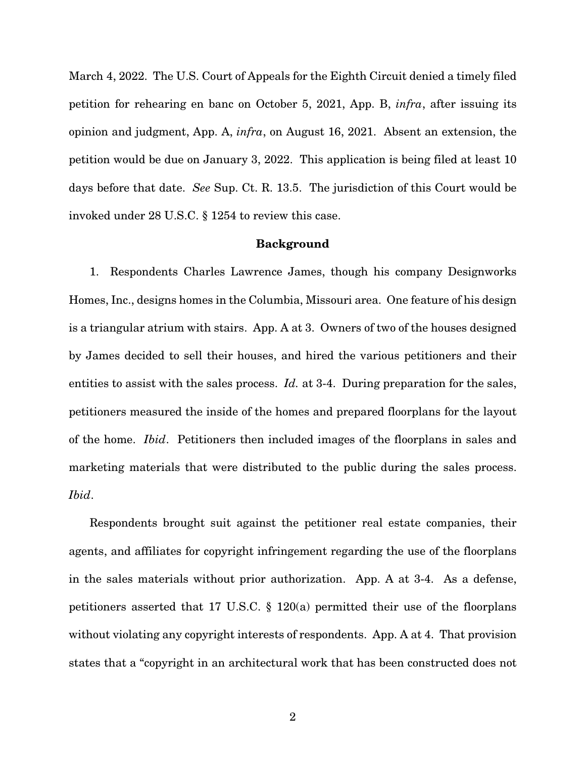March 4, 2022. The U.S. Court of Appeals for the Eighth Circuit denied a timely filed petition for rehearing en banc on October 5, 2021, App. B, *infra*, after issuing its opinion and judgment, App. A, *infra*, on August 16, 2021. Absent an extension, the petition would be due on January 3, 2022. This application is being filed at least 10 days before that date. *See* Sup. Ct. R. 13.5. The jurisdiction of this Court would be invoked under 28 U.S.C. § 1254 to review this case.

#### Background

1. Respondents Charles Lawrence James, though his company Designworks Homes, Inc., designs homes in the Columbia, Missouri area. One feature of his design is a triangular atrium with stairs. App. A at 3. Owners of two of the houses designed by James decided to sell their houses, and hired the various petitioners and their entities to assist with the sales process. *Id.* at 3-4. During preparation for the sales, petitioners measured the inside of the homes and prepared floorplans for the layout of the home. *Ibid*. Petitioners then included images of the floorplans in sales and marketing materials that were distributed to the public during the sales process. *Ibid*.

Respondents brought suit against the petitioner real estate companies, their agents, and affiliates for copyright infringement regarding the use of the floorplans in the sales materials without prior authorization. App. A at 3-4. As a defense, petitioners asserted that 17 U.S.C. § 120(a) permitted their use of the floorplans without violating any copyright interests of respondents. App. A at 4. That provision states that a "copyright in an architectural work that has been constructed does not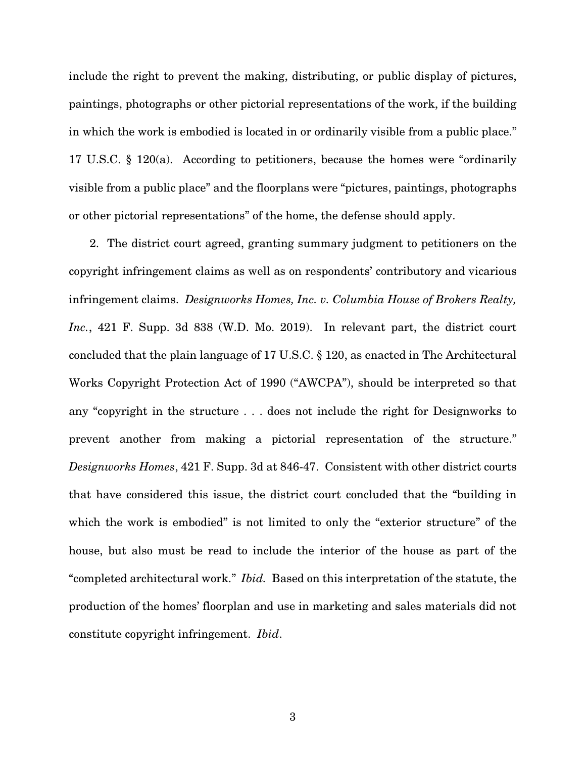include the right to prevent the making, distributing, or public display of pictures, paintings, photographs or other pictorial representations of the work, if the building in which the work is embodied is located in or ordinarily visible from a public place." 17 U.S.C. § 120(a). According to petitioners, because the homes were "ordinarily visible from a public place" and the floorplans were "pictures, paintings, photographs or other pictorial representations" of the home, the defense should apply.

2. The district court agreed, granting summary judgment to petitioners on the copyright infringement claims as well as on respondents' contributory and vicarious infringement claims. *Designworks Homes, Inc. v. Columbia House of Brokers Realty, Inc.*, 421 F. Supp. 3d 838 (W.D. Mo. 2019). In relevant part, the district court concluded that the plain language of 17 U.S.C. § 120, as enacted in The Architectural Works Copyright Protection Act of 1990 ("AWCPA"), should be interpreted so that any "copyright in the structure . . . does not include the right for Designworks to prevent another from making a pictorial representation of the structure." *Designworks Homes*, 421 F. Supp. 3d at 846-47. Consistent with other district courts that have considered this issue, the district court concluded that the "building in which the work is embodied" is not limited to only the "exterior structure" of the house, but also must be read to include the interior of the house as part of the "completed architectural work." *Ibid.* Based on this interpretation of the statute, the production of the homes' floorplan and use in marketing and sales materials did not constitute copyright infringement. *Ibid*.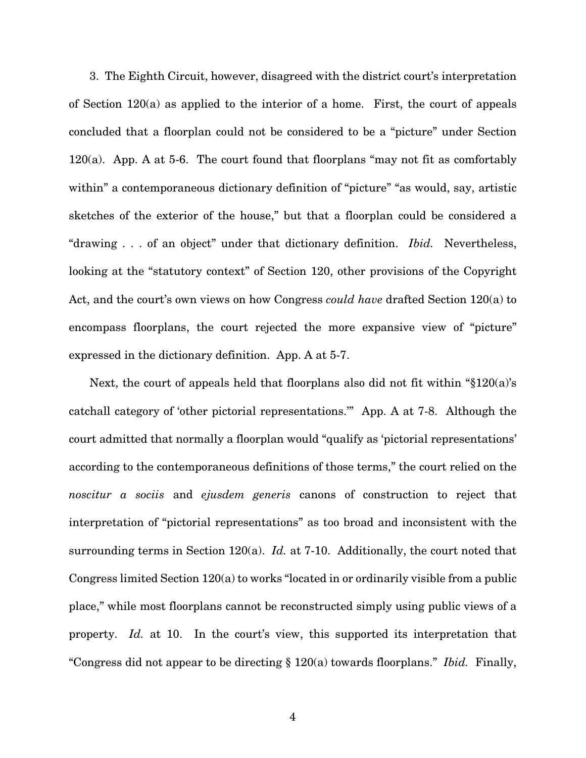3. The Eighth Circuit, however, disagreed with the district court's interpretation of Section 120(a) as applied to the interior of a home. First, the court of appeals concluded that a floorplan could not be considered to be a "picture" under Section 120(a). App. A at 5-6. The court found that floorplans "may not fit as comfortably within" a contemporaneous dictionary definition of "picture" "as would, say, artistic sketches of the exterior of the house," but that a floorplan could be considered a "drawing . . . of an object" under that dictionary definition. *Ibid.* Nevertheless, looking at the "statutory context" of Section 120, other provisions of the Copyright Act, and the court's own views on how Congress *could have* drafted Section 120(a) to encompass floorplans, the court rejected the more expansive view of "picture" expressed in the dictionary definition. App. A at 5-7.

Next, the court of appeals held that floorplans also did not fit within "§120(a)'s catchall category of 'other pictorial representations.'" App. A at 7-8. Although the court admitted that normally a floorplan would "qualify as 'pictorial representations' according to the contemporaneous definitions of those terms," the court relied on the *noscitur a sociis* and *ejusdem generis* canons of construction to reject that interpretation of "pictorial representations" as too broad and inconsistent with the surrounding terms in Section 120(a). *Id.* at 7-10. Additionally, the court noted that Congress limited Section 120(a) to works "located in or ordinarily visible from a public place," while most floorplans cannot be reconstructed simply using public views of a property. *Id.* at 10. In the court's view, this supported its interpretation that "Congress did not appear to be directing § 120(a) towards floorplans." *Ibid.* Finally,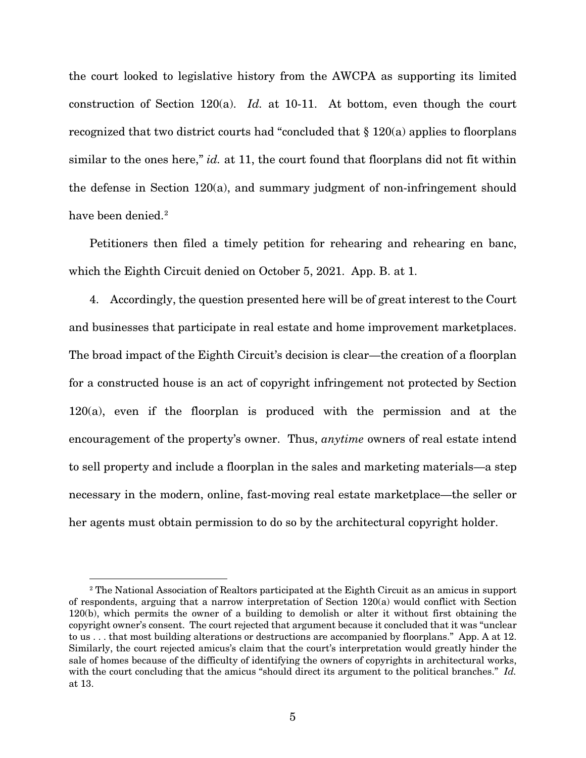the court looked to legislative history from the AWCPA as supporting its limited construction of Section 120(a). *Id.* at 10-11. At bottom, even though the court recognized that two district courts had "concluded that § 120(a) applies to floorplans similar to the ones here," *id.* at 11, the court found that floorplans did not fit within the defense in Section 120(a), and summary judgment of non-infringement should have been denied.<sup>[2](#page-4-0)</sup>

Petitioners then filed a timely petition for rehearing and rehearing en banc, which the Eighth Circuit denied on October 5, 2021. App. B. at 1.

4. Accordingly, the question presented here will be of great interest to the Court and businesses that participate in real estate and home improvement marketplaces. The broad impact of the Eighth Circuit's decision is clear—the creation of a floorplan for a constructed house is an act of copyright infringement not protected by Section 120(a), even if the floorplan is produced with the permission and at the encouragement of the property's owner. Thus, *anytime* owners of real estate intend to sell property and include a floorplan in the sales and marketing materials—a step necessary in the modern, online, fast-moving real estate marketplace—the seller or her agents must obtain permission to do so by the architectural copyright holder.

<span id="page-4-0"></span><sup>&</sup>lt;sup>2</sup> The National Association of Realtors participated at the Eighth Circuit as an amicus in support of respondents, arguing that a narrow interpretation of Section 120(a) would conflict with Section 120(b), which permits the owner of a building to demolish or alter it without first obtaining the copyright owner's consent. The court rejected that argument because it concluded that it was "unclear to us . . . that most building alterations or destructions are accompanied by floorplans." App. A at 12. Similarly, the court rejected amicus's claim that the court's interpretation would greatly hinder the sale of homes because of the difficulty of identifying the owners of copyrights in architectural works, with the court concluding that the amicus "should direct its argument to the political branches." *Id.* at 13.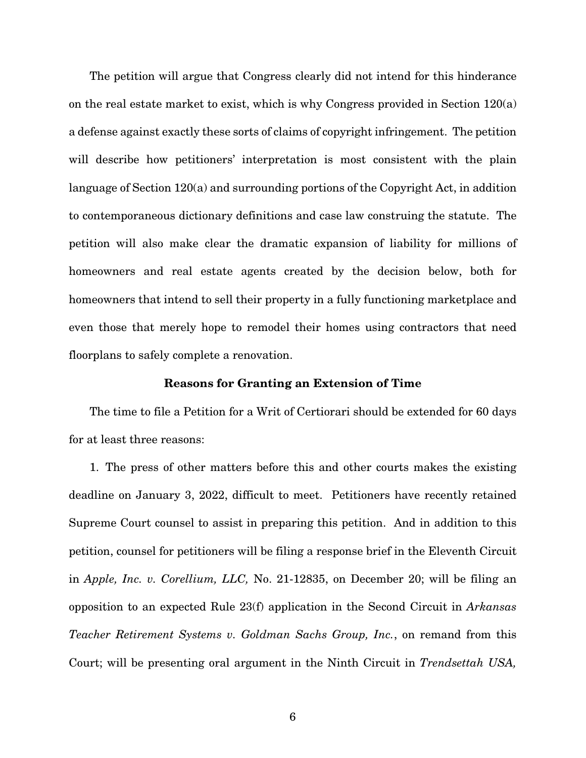The petition will argue that Congress clearly did not intend for this hinderance on the real estate market to exist, which is why Congress provided in Section 120(a) a defense against exactly these sorts of claims of copyright infringement. The petition will describe how petitioners' interpretation is most consistent with the plain language of Section 120(a) and surrounding portions of the Copyright Act, in addition to contemporaneous dictionary definitions and case law construing the statute. The petition will also make clear the dramatic expansion of liability for millions of homeowners and real estate agents created by the decision below, both for homeowners that intend to sell their property in a fully functioning marketplace and even those that merely hope to remodel their homes using contractors that need floorplans to safely complete a renovation.

#### Reasons for Granting an Extension of Time

The time to file a Petition for a Writ of Certiorari should be extended for 60 days for at least three reasons:

1. The press of other matters before this and other courts makes the existing deadline on January 3, 2022, difficult to meet. Petitioners have recently retained Supreme Court counsel to assist in preparing this petition. And in addition to this petition, counsel for petitioners will be filing a response brief in the Eleventh Circuit in *Apple, Inc. v. Corellium, LLC,* No. 21-12835, on December 20; will be filing an opposition to an expected Rule 23(f) application in the Second Circuit in *Arkansas Teacher Retirement Systems v. Goldman Sachs Group, Inc.*, on remand from this Court; will be presenting oral argument in the Ninth Circuit in *Trendsettah USA,*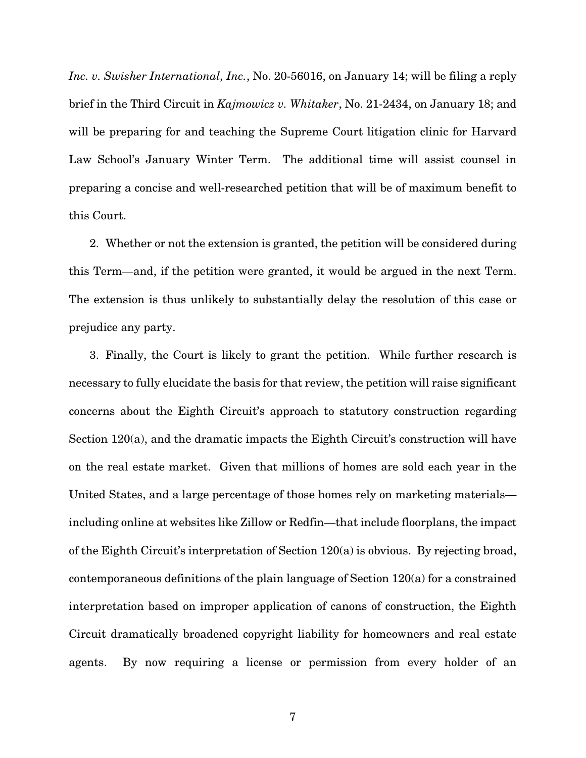*Inc. v. Swisher International, Inc.*, No. 20-56016, on January 14; will be filing a reply brief in the Third Circuit in *Kajmowicz v. Whitaker*, No. 21-2434, on January 18; and will be preparing for and teaching the Supreme Court litigation clinic for Harvard Law School's January Winter Term. The additional time will assist counsel in preparing a concise and well-researched petition that will be of maximum benefit to this Court.

2. Whether or not the extension is granted, the petition will be considered during this Term—and, if the petition were granted, it would be argued in the next Term. The extension is thus unlikely to substantially delay the resolution of this case or prejudice any party.

3. Finally, the Court is likely to grant the petition. While further research is necessary to fully elucidate the basis for that review, the petition will raise significant concerns about the Eighth Circuit's approach to statutory construction regarding Section 120(a), and the dramatic impacts the Eighth Circuit's construction will have on the real estate market. Given that millions of homes are sold each year in the United States, and a large percentage of those homes rely on marketing materials including online at websites like Zillow or Redfin—that include floorplans, the impact of the Eighth Circuit's interpretation of Section 120(a) is obvious. By rejecting broad, contemporaneous definitions of the plain language of Section 120(a) for a constrained interpretation based on improper application of canons of construction, the Eighth Circuit dramatically broadened copyright liability for homeowners and real estate agents. By now requiring a license or permission from every holder of an